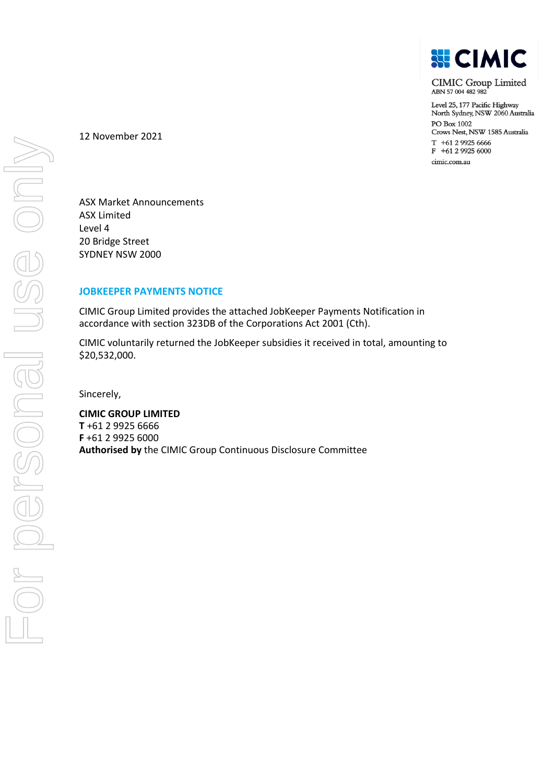

**CIMIC Group Limited** ABN 57004482982

Level 25, 177 Pacific Highway North Sydney, NSW 2060 Australia PO Box 1002 Crows Nest, NSW 1585 Australia  $T + 61299256666$ F +61 2 9925 6000 cimic.com.au

12 November 2021

ASX Market Announcements ASX Limited Level 4 20 Bridge Street SYDNEY NSW 2000

## **JOBKEEPER PAYMENTS NOTICE**

CIMIC Group Limited provides the attached JobKeeper Payments Notification in accordance with section 323DB of the Corporations Act 2001 (Cth).

CIMIC voluntarily returned the JobKeeper subsidies it received in total, amounting to \$20,532,000.

Sincerely,

**CIMIC GROUP LIMITED T** +61 2 9925 6666 **F** +61 2 9925 6000 **Authorised by** the CIMIC Group Continuous Disclosure Committee